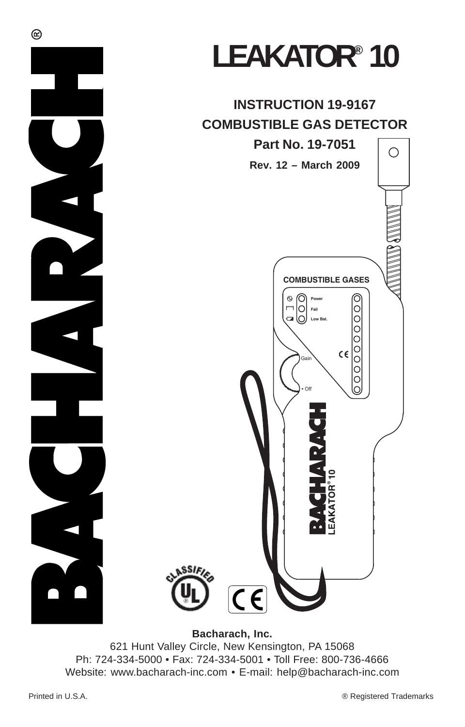

# LEAKATOR<sup>®</sup> 10

### **INSTRUCTION 19-9167 COMBUSTIBLE GAS DETECTOR**



**Bacharach, Inc.**

621 Hunt Valley Circle, New Kensington, PA 15068 Ph: 724-334-5000 • Fax: 724-334-5001 • Toll Free: 800-736-4666 Website: www.bacharach-inc.com • E-mail: help@bacharach-inc.com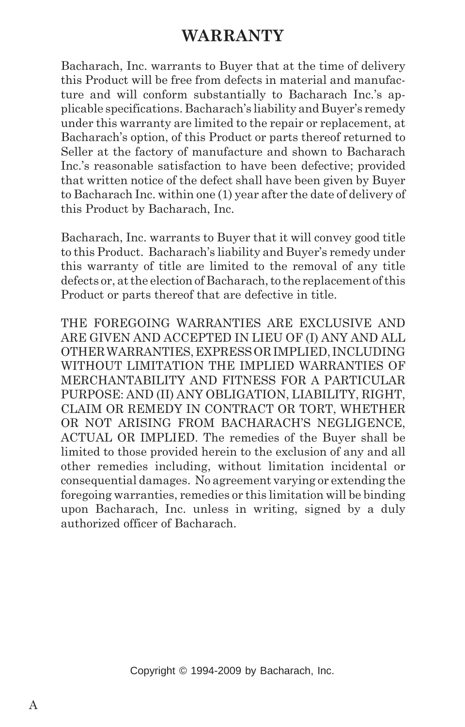#### **WARRANTY**

Bacharach, Inc. warrants to Buyer that at the time of delivery this Product will be free from defects in material and manufacture and will conform substantially to Bacharach Inc.'s applicable specifications. Bacharach's liability and Buyer's remedy under this warranty are limited to the repair or replacement, at Bacharach's option, of this Product or parts thereof returned to Seller at the factory of manufacture and shown to Bacharach Inc.'s reasonable satisfaction to have been defective; provided that written notice of the defect shall have been given by Buyer to Bacharach Inc. within one (1) year after the date of delivery of this Product by Bacharach, Inc.

Bacharach, Inc. warrants to Buyer that it will convey good title to this Product. Bacharach's liability and Buyer's remedy under this warranty of title are limited to the removal of any title defects or, at the election of Bacharach, to the replacement of this Product or parts thereof that are defective in title.

THE FOREGOING WARRANTIES ARE EXCLUSIVE AND ARE GIVEN AND ACCEPTED IN LIEU OF (I) ANY AND ALL OTHER WARRANTIES, EXPRESS OR IMPLIED, INCLUDING WITHOUT LIMITATION THE IMPLIED WARRANTIES OF MERCHANTABILITY AND FITNESS FOR A PARTICULAR PURPOSE: AND (II) ANY OBLIGATION, LIABILITY, RIGHT, CLAIM OR REMEDY IN CONTRACT OR TORT, WHETHER OR NOT ARISING FROM BACHARACH'S NEGLIGENCE, ACTUAL OR IMPLIED. The remedies of the Buyer shall be limited to those provided herein to the exclusion of any and all other remedies including, without limitation incidental or consequential damages. No agreement varying or extending the foregoing warranties, remedies or this limitation will be binding upon Bacharach, Inc. unless in writing, signed by a duly authorized officer of Bacharach.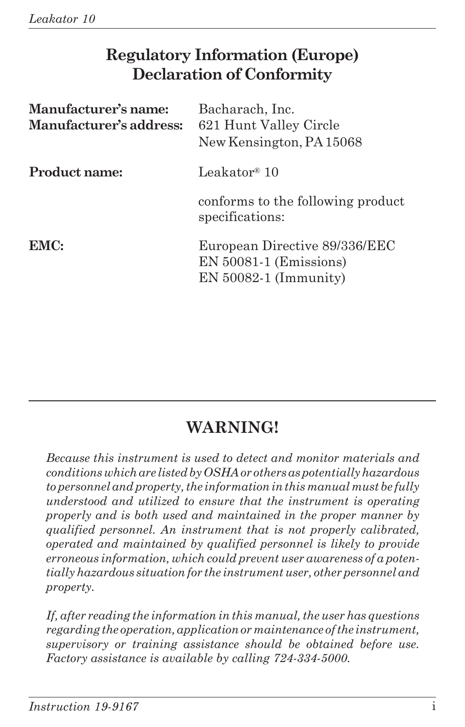### **Regulatory Information (Europe) Declaration of Conformity**

| Manufacturer's name:<br>Manufacturer's address: | Bacharach, Inc.<br>621 Hunt Valley Circle<br>New Kensington, PA 15068                |
|-------------------------------------------------|--------------------------------------------------------------------------------------|
| Product name:                                   | Leakator® 10                                                                         |
|                                                 | conforms to the following product<br>specifications:                                 |
| EMC:                                            | European Directive 89/336/EEC<br>$EN 50081-1$ (Emissions)<br>$EN 50082-1 (Immunity)$ |

### **WARNING!**

*Because this instrument is used to detect and monitor materials and conditions which are listed by OSHA or others as potentially hazardous to personnel and property, the information in this manual must be fully understood and utilized to ensure that the instrument is operating properly and is both used and maintained in the proper manner by qualified personnel. An instrument that is not properly calibrated, operated and maintained by qualified personnel is likely to provide erroneous information, which could prevent user awareness of a potentially hazardous situation for the instrument user, other personnel and property.*

*If, after reading the information in this manual, the user has questions regarding the operation, application or maintenance of the instrument, supervisory or training assistance should be obtained before use. Factory assistance is available by calling 724-334-5000.*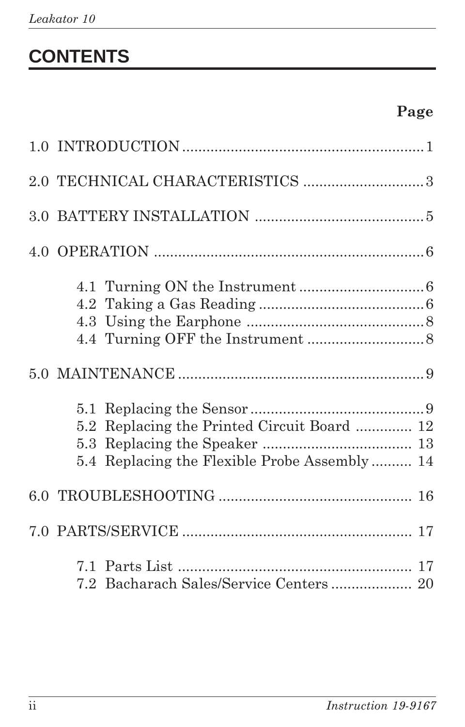# **CONTENTS**

|  | 5.2 Replacing the Printed Circuit Board  12<br>5.4 Replacing the Flexible Probe Assembly 14 |
|--|---------------------------------------------------------------------------------------------|
|  |                                                                                             |
|  |                                                                                             |
|  | 7.2 Bacharach Sales/Service Centers 20                                                      |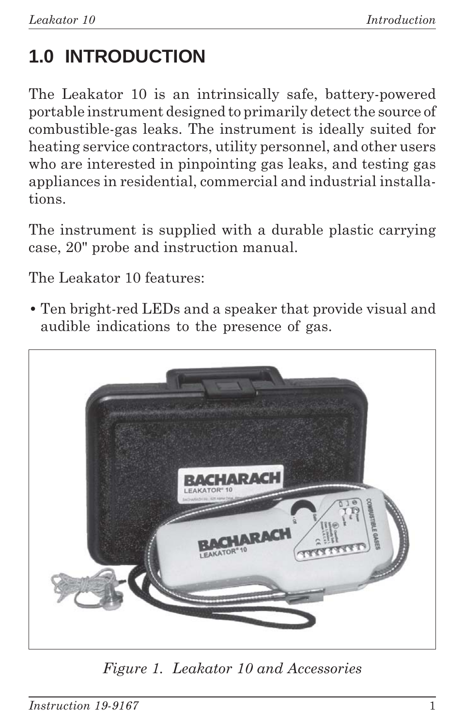# **1.0 INTRODUCTION**

The Leakator 10 is an intrinsically safe, battery-powered portable instrument designed to primarily detect the source of combustible-gas leaks. The instrument is ideally suited for heating service contractors, utility personnel, and other users who are interested in pinpointing gas leaks, and testing gas appliances in residential, commercial and industrial installations.

The instrument is supplied with a durable plastic carrying case, 20" probe and instruction manual.

The Leakator 10 features:

**•** Ten bright-red LEDs and a speaker that provide visual and audible indications to the presence of gas.



*Figure 1. Leakator 10 and Accessories*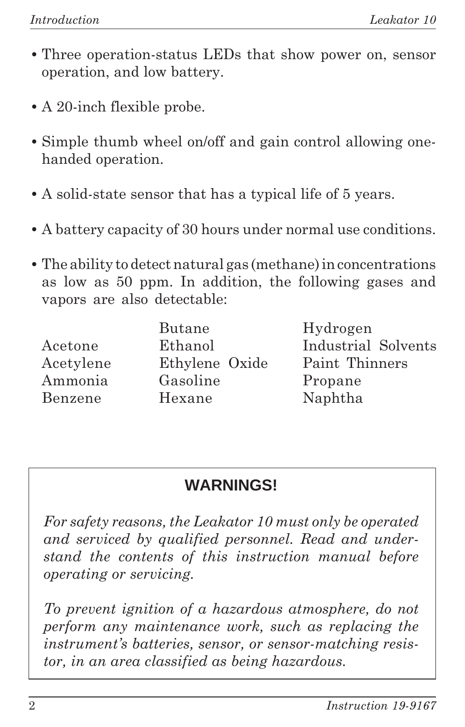- **•** Three operation-status LEDs that show power on, sensor operation, and low battery.
- **•** A 20-inch flexible probe.
- **•** Simple thumb wheel on/off and gain control allowing onehanded operation.
- **•** A solid-state sensor that has a typical life of 5 years.
- **•** A battery capacity of 30 hours under normal use conditions.
- **•** The ability to detect natural gas (methane) in concentrations as low as 50 ppm. In addition, the following gases and vapors are also detectable:

|           | <b>Butane</b>  |
|-----------|----------------|
| Acetone   | Ethanol        |
| Acetylene | Ethylene Oxide |
| Ammonia   | Gasoline       |
| Benzene   | Hexane         |
|           |                |

Hydrogen Industrial Solvents Paint Thinners Propane Naphtha

### **WARNINGS!**

*For safety reasons, the Leakator 10 must only be operated and serviced by qualified personnel. Read and understand the contents of this instruction manual before operating or servicing.*

*To prevent ignition of a hazardous atmosphere, do not perform any maintenance work, such as replacing the instrument's batteries, sensor, or sensor-matching resistor, in an area classified as being hazardous.*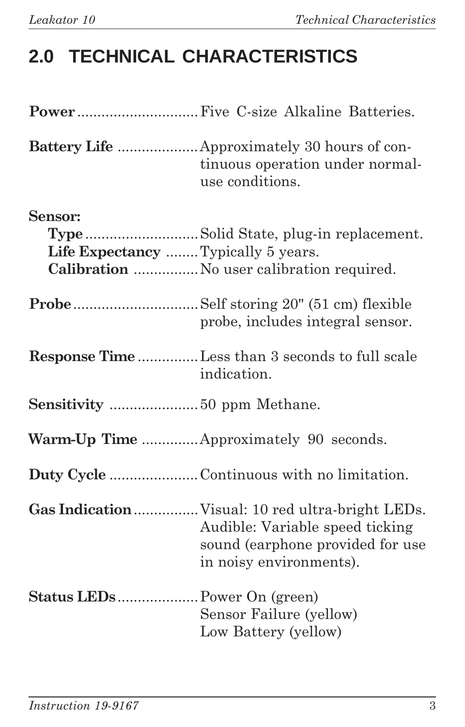# **2.0 TECHNICAL CHARACTERISTICS**

|                                                | Battery Life  Approximately 30 hours of con-<br>tinuous operation under normal-<br>use conditions. |
|------------------------------------------------|----------------------------------------------------------------------------------------------------|
| Sensor:<br>Life Expectancy  Typically 5 years. | TypeSolid State, plug-in replacement.<br>Calibration  No user calibration required.                |
|                                                | probe, includes integral sensor.                                                                   |
|                                                | <b>Response Time</b> Less than 3 seconds to full scale<br>indication.                              |
|                                                |                                                                                                    |
|                                                | Warm-Up Time  Approximately 90 seconds.                                                            |
|                                                |                                                                                                    |
|                                                | Audible: Variable speed ticking<br>sound (earphone provided for use<br>in noisy environments).     |
|                                                | Sensor Failure (yellow)<br>Low Battery (yellow)                                                    |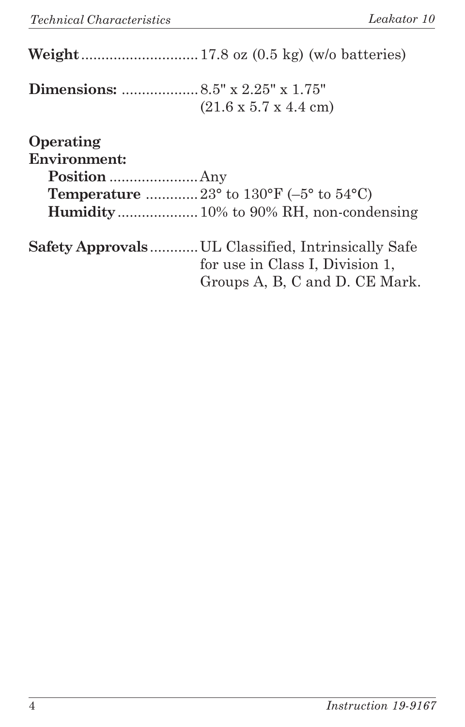|                                  | $(21.6 \times 5.7 \times 4.4 \text{ cm})$                                                                               |
|----------------------------------|-------------------------------------------------------------------------------------------------------------------------|
| Operating<br><b>Environment:</b> |                                                                                                                         |
|                                  | <b>Temperature</b> 23° to 130°F (-5° to 54°C)                                                                           |
|                                  |                                                                                                                         |
|                                  | Safety Approvals UL Classified, Intrinsically Safe<br>for use in Class I, Division 1,<br>Groups A, B, C and D. CE Mark. |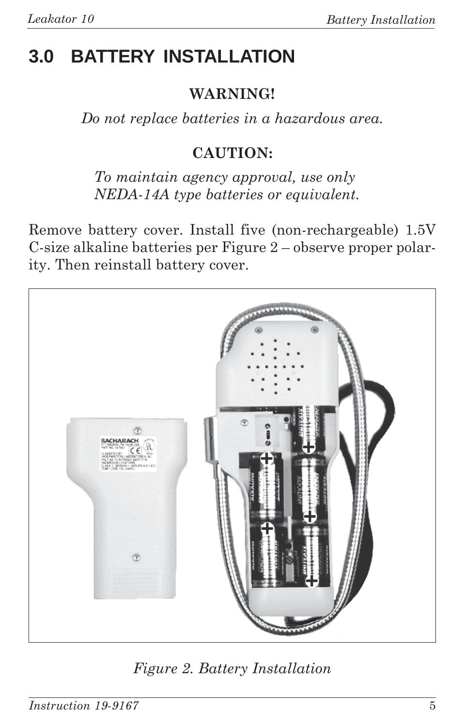### **3.0 BATTERY INSTALLATION**

#### **WARNING!**

*Do not replace batteries in a hazardous area.*

### **CAUTION:**

*To maintain agency approval, use only NEDA-14A type batteries or equivalent.*

Remove battery cover. Install five (non-rechargeable) 1.5V C-size alkaline batteries per Figure 2 – observe proper polarity. Then reinstall battery cover.



*Figure 2. Battery Installation*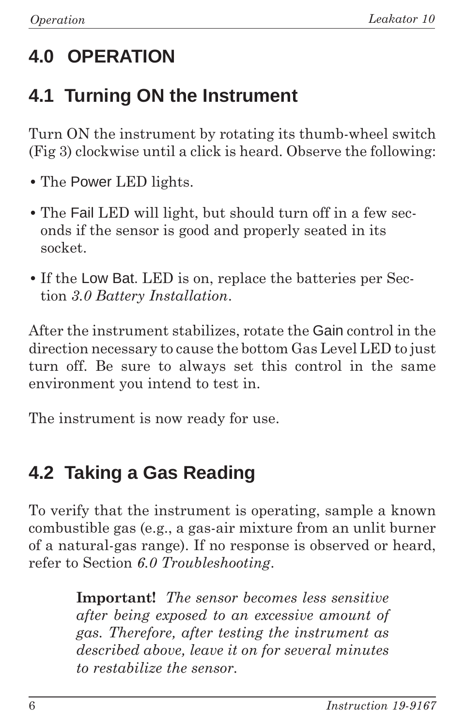# **4.0 OPERATION**

### **4.1 Turning ON the Instrument**

Turn ON the instrument by rotating its thumb-wheel switch (Fig 3) clockwise until a click is heard. Observe the following:

- **•** The Power LED lights.
- **•** The Fail LED will light, but should turn off in a few seconds if the sensor is good and properly seated in its socket.
- **•** If the Low Bat. LED is on, replace the batteries per Section *3.0 Battery Installation*.

After the instrument stabilizes, rotate the Gain control in the direction necessary to cause the bottom Gas Level LED to just turn off. Be sure to always set this control in the same environment you intend to test in.

The instrument is now ready for use.

### **4.2 Taking a Gas Reading**

To verify that the instrument is operating, sample a known combustible gas (e.g., a gas-air mixture from an unlit burner of a natural-gas range). If no response is observed or heard, refer to Section *6.0 Troubleshooting*.

> **Important!** *The sensor becomes less sensitive after being exposed to an excessive amount of gas. Therefore, after testing the instrument as described above, leave it on for several minutes to restabilize the sensor.*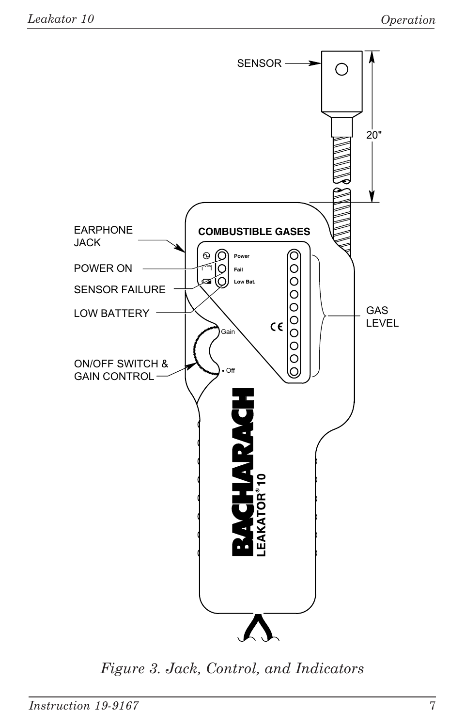

*Figure 3. Jack, Control, and Indicators*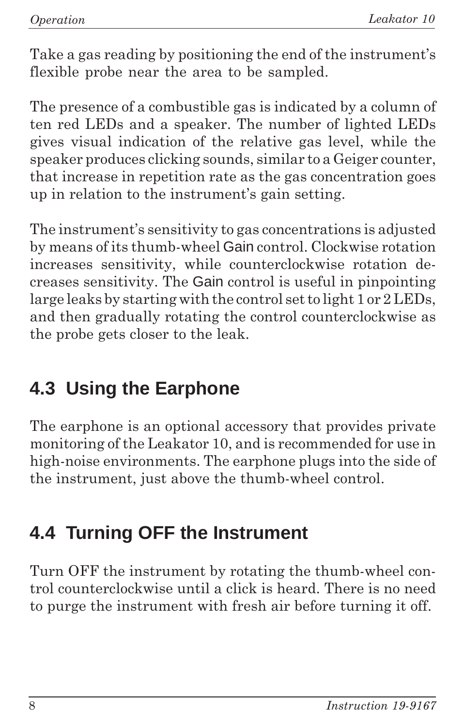Take a gas reading by positioning the end of the instrument's flexible probe near the area to be sampled.

The presence of a combustible gas is indicated by a column of ten red LEDs and a speaker. The number of lighted LEDs gives visual indication of the relative gas level, while the speaker produces clicking sounds, similar to a Geiger counter, that increase in repetition rate as the gas concentration goes up in relation to the instrument's gain setting.

The instrument's sensitivity to gas concentrations is adjusted by means of its thumb-wheel Gain control. Clockwise rotation increases sensitivity, while counterclockwise rotation decreases sensitivity. The Gain control is useful in pinpointing large leaks by starting with the control set to light 1 or 2 LEDs, and then gradually rotating the control counterclockwise as the probe gets closer to the leak.

### **4.3 Using the Earphone**

The earphone is an optional accessory that provides private monitoring of the Leakator 10, and is recommended for use in high-noise environments. The earphone plugs into the side of the instrument, just above the thumb-wheel control.

### **4.4 Turning OFF the Instrument**

Turn OFF the instrument by rotating the thumb-wheel control counterclockwise until a click is heard. There is no need to purge the instrument with fresh air before turning it off.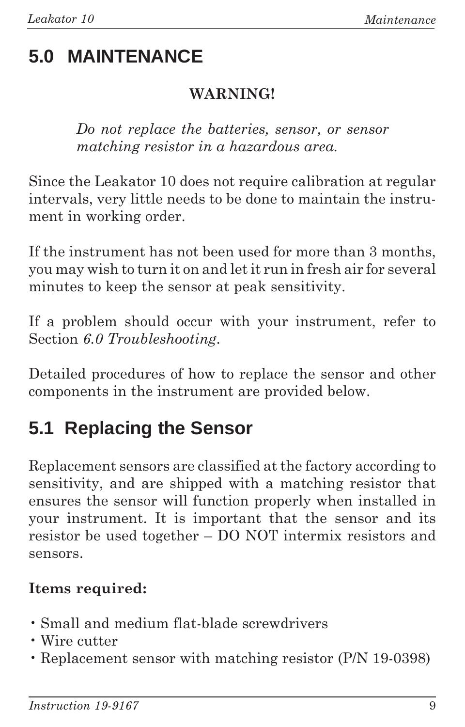## **5.0 MAINTENANCE**

### **WARNING!**

*Do not replace the batteries, sensor, or sensor matching resistor in a hazardous area.*

Since the Leakator 10 does not require calibration at regular intervals, very little needs to be done to maintain the instrument in working order.

If the instrument has not been used for more than 3 months, you may wish to turn it on and let it run in fresh air for several minutes to keep the sensor at peak sensitivity.

If a problem should occur with your instrument, refer to Section *6.0 Troubleshooting*.

Detailed procedures of how to replace the sensor and other components in the instrument are provided below.

### **5.1 Replacing the Sensor**

Replacement sensors are classified at the factory according to sensitivity, and are shipped with a matching resistor that ensures the sensor will function properly when installed in your instrument. It is important that the sensor and its resistor be used together – DO NOT intermix resistors and sensors.

### **Items required:**

- Small and medium flat-blade screwdrivers
- Wire cutter
- Replacement sensor with matching resistor (P/N 19-0398)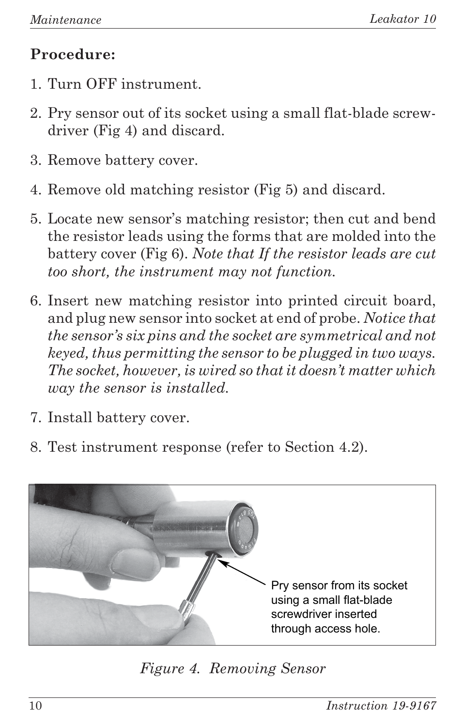### **Procedure:**

- 1. Turn OFF instrument.
- 2. Pry sensor out of its socket using a small flat-blade screwdriver (Fig 4) and discard.
- 3. Remove battery cover.
- 4. Remove old matching resistor (Fig 5) and discard.
- 5. Locate new sensor's matching resistor; then cut and bend the resistor leads using the forms that are molded into the battery cover (Fig 6). *Note that If the resistor leads are cut too short, the instrument may not function.*
- 6. Insert new matching resistor into printed circuit board, and plug new sensor into socket at end of probe. *Notice that the sensor's six pins and the socket are symmetrical and not keyed, thus permitting the sensor to be plugged in two ways. The socket, however, is wired so that it doesn't matter which way the sensor is installed.*
- 7. Install battery cover.
- 8. Test instrument response (refer to Section 4.2).



*Figure 4. Removing Sensor*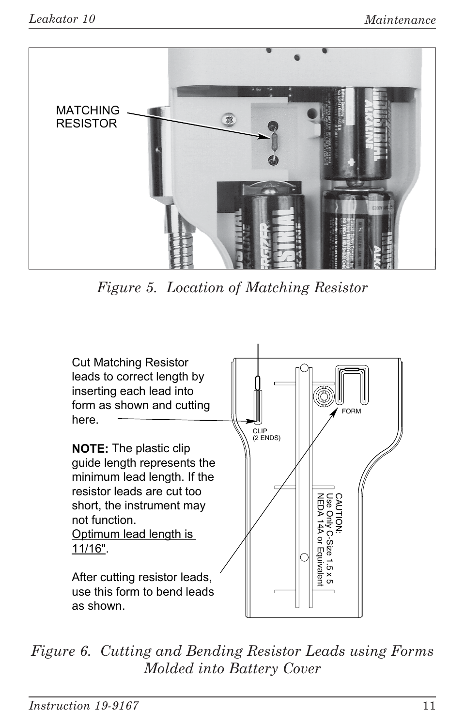

Figure 5. Location of Matching Resistor



Figure 6. Cutting and Bending Resistor Leads using Forms Molded into Battery Cover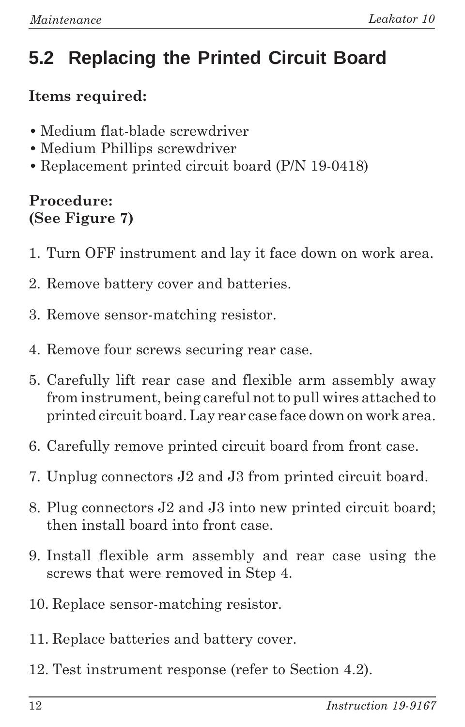# **5.2 Replacing the Printed Circuit Board**

### **Items required:**

- **•** Medium flat-blade screwdriver
- **•** Medium Phillips screwdriver
- **•** Replacement printed circuit board (P/N 19-0418)

### **Procedure: (See Figure 7)**

- 1. Turn OFF instrument and lay it face down on work area.
- 2. Remove battery cover and batteries.
- 3. Remove sensor-matching resistor.
- 4. Remove four screws securing rear case.
- 5. Carefully lift rear case and flexible arm assembly away from instrument, being careful not to pull wires attached to printed circuit board. Lay rear case face down on work area.
- 6. Carefully remove printed circuit board from front case.
- 7. Unplug connectors J2 and J3 from printed circuit board.
- 8. Plug connectors J2 and J3 into new printed circuit board; then install board into front case.
- 9. Install flexible arm assembly and rear case using the screws that were removed in Step 4.
- 10. Replace sensor-matching resistor.
- 11. Replace batteries and battery cover.
- 12. Test instrument response (refer to Section 4.2).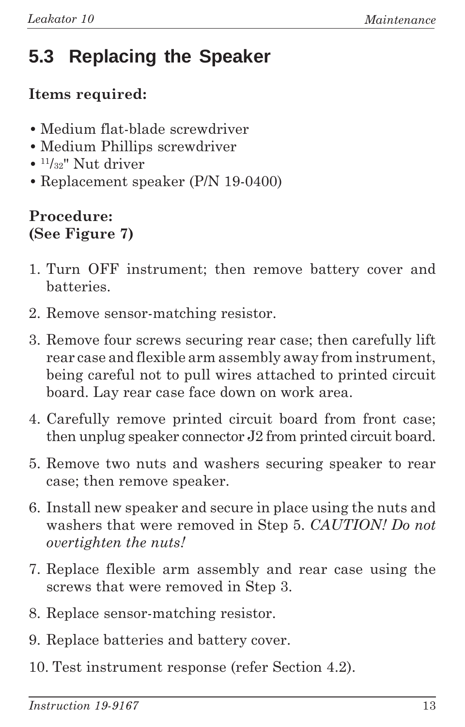# **5.3 Replacing the Speaker**

### **Items required:**

- **•** Medium flat-blade screwdriver
- **•** Medium Phillips screwdriver
- **•** 11/32" Nut driver
- **•** Replacement speaker (P/N 19-0400)

#### **Procedure: (See Figure 7)**

- 1. Turn OFF instrument; then remove battery cover and batteries.
- 2. Remove sensor-matching resistor.
- 3. Remove four screws securing rear case; then carefully lift rear case and flexible arm assembly away from instrument, being careful not to pull wires attached to printed circuit board. Lay rear case face down on work area.
- 4. Carefully remove printed circuit board from front case; then unplug speaker connector J2 from printed circuit board.
- 5. Remove two nuts and washers securing speaker to rear case; then remove speaker.
- 6. Install new speaker and secure in place using the nuts and washers that were removed in Step 5. *CAUTION! Do not overtighten the nuts!*
- 7. Replace flexible arm assembly and rear case using the screws that were removed in Step 3.
- 8. Replace sensor-matching resistor.
- 9. Replace batteries and battery cover.
- 10. Test instrument response (refer Section 4.2).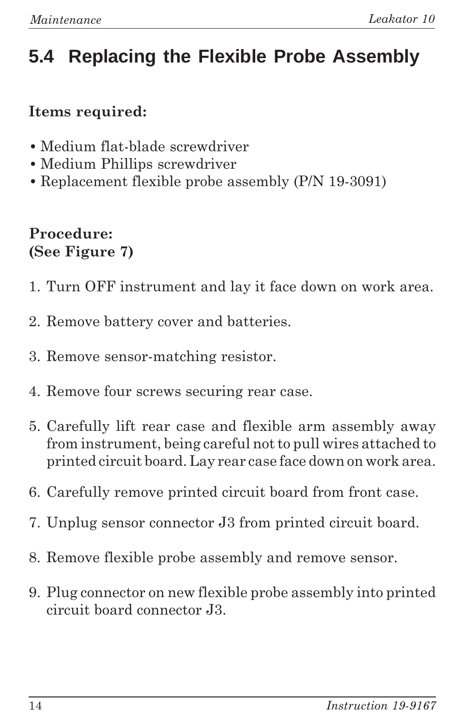# **5.4 Replacing the Flexible Probe Assembly**

### **Items required:**

- **•** Medium flat-blade screwdriver
- **•** Medium Phillips screwdriver
- **•** Replacement flexible probe assembly (P/N 19-3091)

#### **Procedure: (See Figure 7)**

- 1. Turn OFF instrument and lay it face down on work area.
- 2. Remove battery cover and batteries.
- 3. Remove sensor-matching resistor.
- 4. Remove four screws securing rear case.
- 5. Carefully lift rear case and flexible arm assembly away from instrument, being careful not to pull wires attached to printed circuit board. Lay rear case face down on work area.
- 6. Carefully remove printed circuit board from front case.
- 7. Unplug sensor connector J3 from printed circuit board.
- 8. Remove flexible probe assembly and remove sensor.
- 9. Plug connector on new flexible probe assembly into printed circuit board connector J3.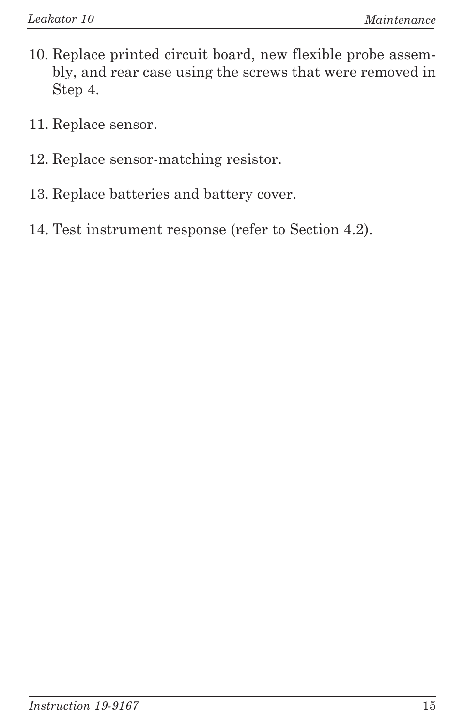- 10. Replace printed circuit board, new flexible probe assembly, and rear case using the screws that were removed in Step 4.
- 11. Replace sensor.
- 12. Replace sensor-matching resistor.
- 13. Replace batteries and battery cover.
- 14. Test instrument response (refer to Section 4.2).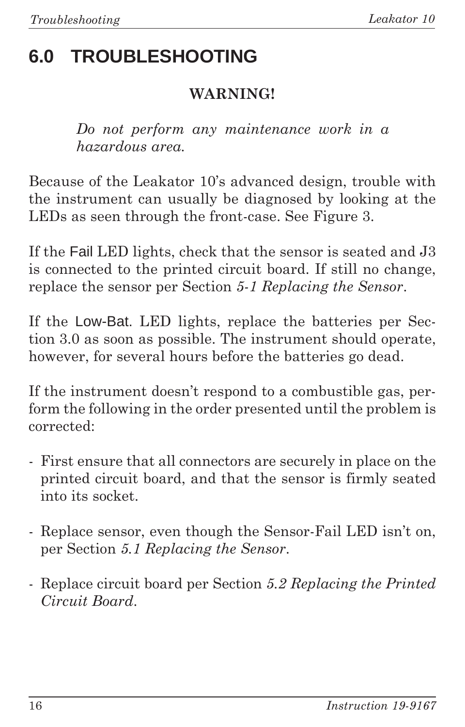# **6.0 TROUBLESHOOTING**

### **WARNING!**

*Do not perform any maintenance work in a hazardous area.*

Because of the Leakator 10's advanced design, trouble with the instrument can usually be diagnosed by looking at the LEDs as seen through the front-case. See Figure 3.

If the Fail LED lights, check that the sensor is seated and J3 is connected to the printed circuit board. If still no change, replace the sensor per Section *5-1 Replacing the Sensor*.

If the Low-Bat. LED lights, replace the batteries per Section 3.0 as soon as possible. The instrument should operate, however, for several hours before the batteries go dead.

If the instrument doesn't respond to a combustible gas, perform the following in the order presented until the problem is corrected:

- First ensure that all connectors are securely in place on the printed circuit board, and that the sensor is firmly seated into its socket.
- Replace sensor, even though the Sensor-Fail LED isn't on, per Section *5.1 Replacing the Sensor*.
- Replace circuit board per Section *5.2 Replacing the Printed Circuit Board*.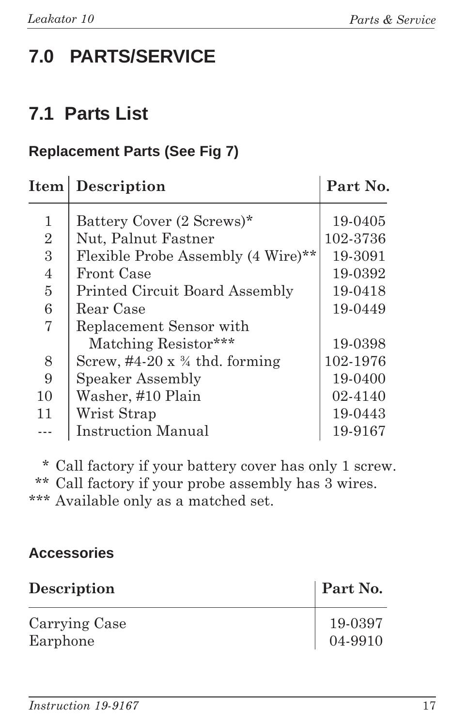## **7.0 PARTS/SERVICE**

### **7.1 Parts List**

### **Replacement Parts (See Fig 7)**

| Item           | Description                                     | Part No. |
|----------------|-------------------------------------------------|----------|
| 1              | Battery Cover (2 Screws)*                       | 19-0405  |
| $\overline{2}$ | Nut, Palnut Fastner                             | 102-3736 |
| 3              | Flexible Probe Assembly (4 Wire)**              | 19-3091  |
| 4              | Front Case                                      | 19-0392  |
| $\overline{5}$ | <b>Printed Circuit Board Assembly</b>           | 19-0418  |
| 6              | Rear Case                                       | 19-0449  |
| 7              | Replacement Sensor with                         |          |
|                | Matching Resistor***                            | 19-0398  |
| 8              | Screw, $\#4-20 \times \frac{3}{4}$ thd. forming | 102-1976 |
| 9              | Speaker Assembly                                | 19-0400  |
| 10             | Washer, #10 Plain                               | 02-4140  |
| 11             | Wrist Strap                                     | 19-0443  |
|                | <b>Instruction Manual</b>                       | 19-9167  |

\* Call factory if your battery cover has only 1 screw. \*\* Call factory if your probe assembly has 3 wires. \*\*\* Available only as a matched set.

#### **Accessories**

| Description               | <b>Part No.</b>                                                 |
|---------------------------|-----------------------------------------------------------------|
| Carrying Case<br>Earphone | $\begin{array}{c} 19\text{-}0397 \\ 04\text{-}9910 \end{array}$ |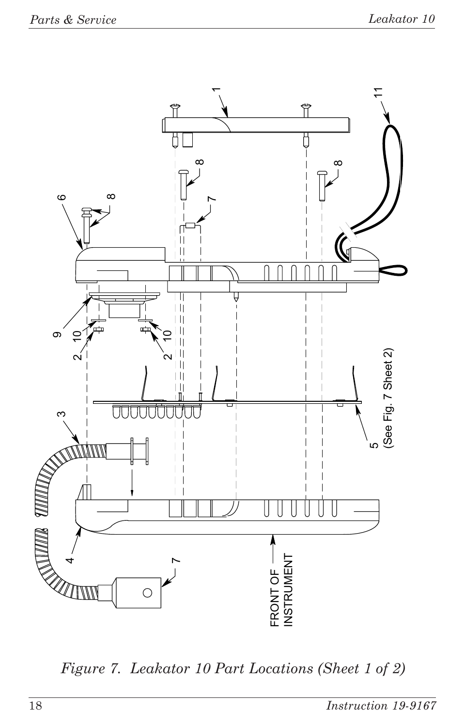

Figure 7. Leakator 10 Part Locations (Sheet 1 of 2)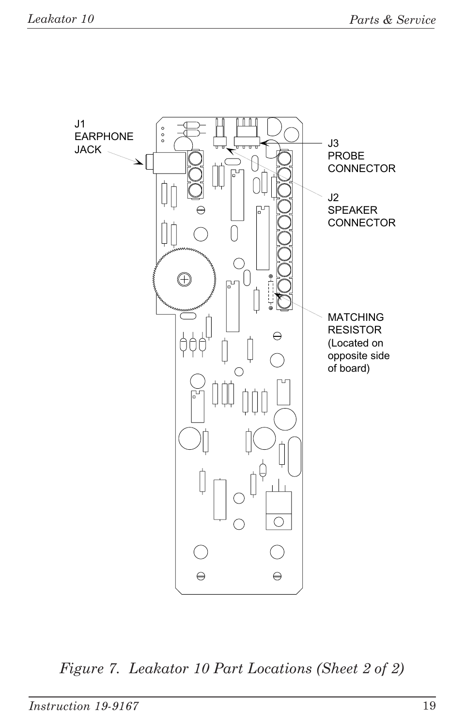

Figure 7. Leakator 10 Part Locations (Sheet 2 of 2)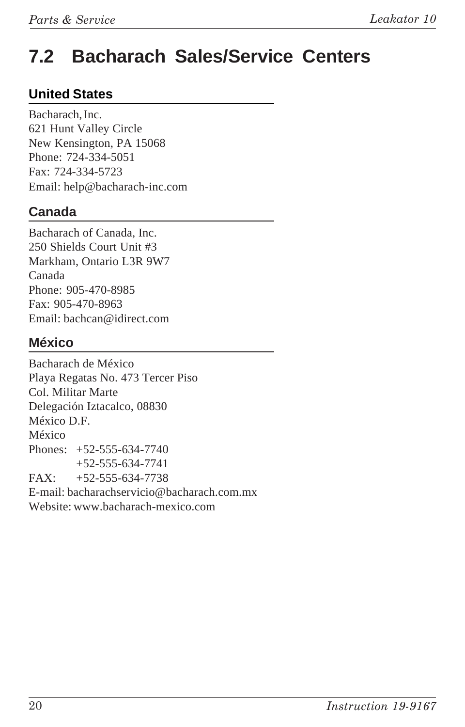### **7.2 Bacharach Sales/Service Centers**

#### **United States**

Bacharach, Inc. 621 Hunt Valley Circle New Kensington, PA 15068 Phone: 724-334-5051 Fax: 724-334-5723 Email: help@bacharach-inc.com

#### **Canada**

Bacharach of Canada, Inc. 250 Shields Court Unit #3 Markham, Ontario L3R 9W7 Canada Phone: 905-470-8985 Fax: 905-470-8963 Email: bachcan@idirect.com

#### **México**

Bacharach de México Playa Regatas No. 473 Tercer Piso Col. Militar Marte Delegación Iztacalco, 08830 México D.F. México Phones: +52-555-634-7740 +52-555-634-7741  $FAX: +52-555-634-7738$ E-mail: bacharachservicio@bacharach.com.mx Website: www.bacharach-mexico.com